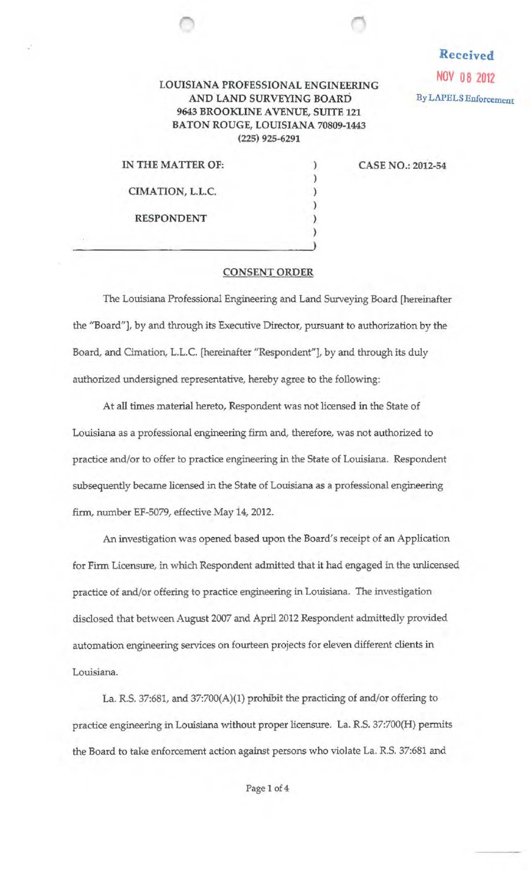## LOUISIANA PROFESSIONAL ENGINEERING<br>AND LAND SURVEYING BOARD<br>By LAPELS Enforcement AND LAND SURVEYING BOARD 9643 BROOKLINE AVENUE, SUITE 121 BATON ROUGE, LOUISIANA 70809-1443 (225) 925-6291

) ) ) ) ) Received

IN THE MATTER OF:

CIMATION, L.L.C.

RESPONDENT

CASE NO.: 20l2-54

## CONSENT ORDER

The Louisiana Professional Engineering and Land Surveying Board [hereinafter the ''Board"], by and through its Executive Director, pursuant to authorization by the Board, and Cimation, L.L.C. [hereinafter "Respondent"], by and through its duly authorized undersigned representative, hereby agree to the following:

At all times material hereto, Respondent was not licensed in the State of Louisiana as a professional engineering firm and, therefore, was not authorized to practice and/or to offer to practice engineering in the State of Louisiana. Respondent subsequently became licensed in the State of Louisiana as a professional engineering firm, number EF-5079, effective May i4, 2012.

An investigation was opened based upon the Board's receipt of an Application for Firm Licensure, in which Respondent admitted that it had engaged in the unlicensed practice of and/or offering to practice engineering in Louisiana. The investigation disclosed that between August 2007 and April 2012 Respondent admittedly provided automation engineering services on fourteen projects for eleven different clients in Louisiana.

La. R.S. 37:681, and 37:700(A)(l) prohibit the practicing of and/or offering to practice engineering in Louisiana without proper licensure. La. R.S. 37:700(H) permits the Board to take enforcement action against persons who violate La. R.S. 37:681 and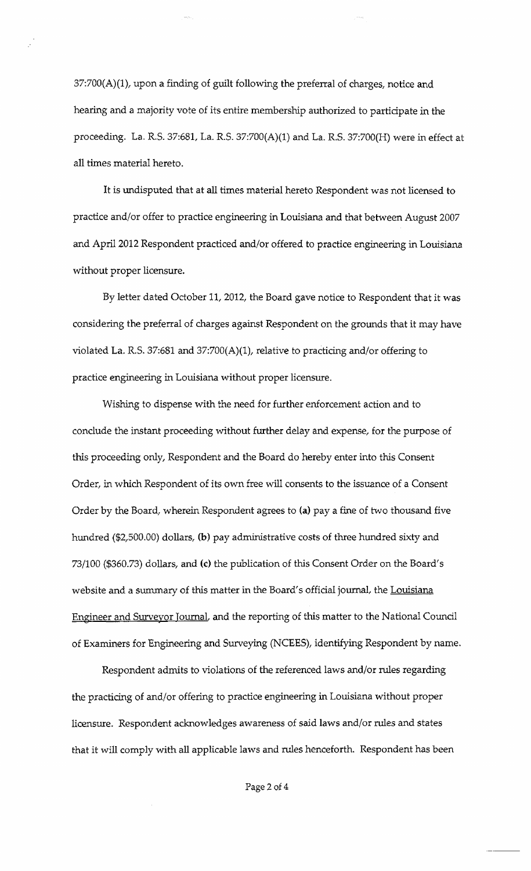37:700(A)(1), upon a finding of guilt following the preferral of charges, notice and hearing and a majority vote of its entire membership authorized to participate in the proceeding. La. R.S. 37:681, La. R.S. 37:700(A)(1) and La. R.S. 37:700(H) were in effect at all times material hereto.

It is undisputed that at all times material hereto Respondent was not licensed to practice and/or offer to practice engineering in Louisiana and that between August 2007 and April 2012 Respondent practiced and/or offered to practice engineering in Louisiana without proper licensure.

By letter dated October 11, 2012, the Board gave notice to Respondent that it was considering the preferral of charges against Respondent on the grounds that it may have violated La. R.S. 37:681 and 37:700(A)(l), relative to practicing and/or offering to practice engineering in Louisiana without proper licensure.

Wishing to dispense with the need for further enforcement action and to conclude the instant proceeding without further delay and expense, for the purpose of this proceeding only, Respondent and the Board do hereby enter into this Consent Order, in which Respondent of its own free will consents to the issuance of a Consent Order by the Board, wherein Respondent agrees to (a) pay a fine of two thousand five hundred (\$2,500.00) dollars, (b) pay administrative costs of three hundred sixty and 73/100 (\$360.73) dollars, and (c) the publication of this Consent Order on the Board's website and a summary of this matter in the Board's official journal, the Louisiana Engineer and Surveyor JournaL and the reporting of this matter to the National Council of Examiners for Engineering and Surveying (NCEES), identifying Respondent by name.

Respondent admits to violations of the referenced laws and/or rules regarding the practicing of and/or offering to practice engineering in Louisiana without proper licensure. Respondent acknowledges awareness of said laws and/or rules and states that it will comply with all applicable laws and rules henceforth. Respondent has been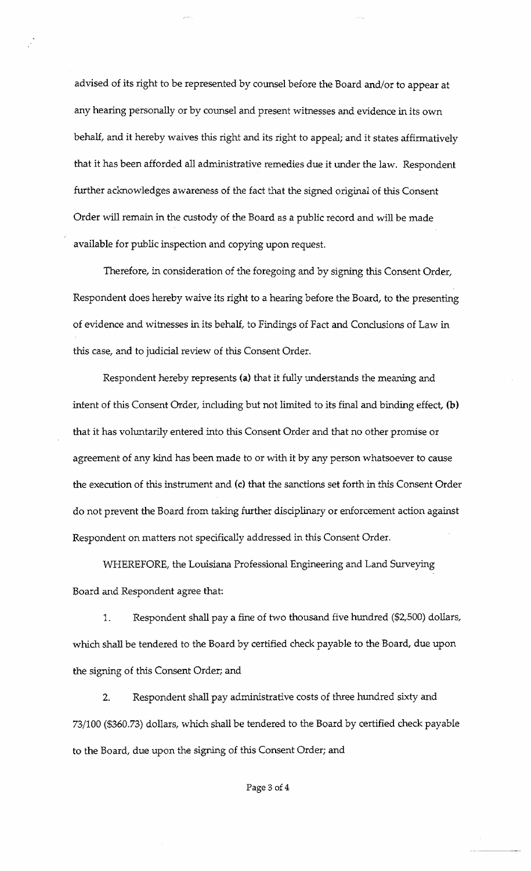advised of its right to be represented by counsel before the Board and/or to appear at any hearing personally or by counsel and present witnesses and evidence in its own behalf, and it hereby waives this right and its right to appeal; and it states affirmatively that it has been afforded all administrative remedies due it under the law. Respondent further acknowledges awareness of the fact that the signed original of this Consent Order will remain in the custody of the Board as a public record and will be made available for public inspection and copying upon request.

Therefore, in consideration of the foregoing and by signing this Consent Order, Respondent does hereby waive its right to a hearing before the Board, to the presenting of evidence and witnesses in its behalf, to Findings of Fact and Conclusions of Law in this case, and to judicial review of this Consent Order.

Respondent hereby represents (a) that it fully understands the meaning and intent of this Consent Order, including but not limited to its final and binding effect, (b) that it has voluntarily entered into this Consent Order and that no other promise or agreement of any kind has been made to or with it by any person whatsoever to cause the execution of this instrument and (c) that the sanctions set forth in this Consent Order do not prevent the Board from taking further disciplinary or enforcement action against Respondent on matters not specifically addressed in this Consent Order.

WHEREFORE, the Louisiana Professional Engineering and Land Surveying Board and Respondent agree that:

1. Respondent shall pay a fine of two thousand five hundred (\$2,500) dollars, which shall be tendered to the Board by certified check payable to the Board, due upon the signing of this Consent Order; and

2. Respondent shall pay administrative costs of three hundred sixty and 73/100 (\$360.73) dollars, which shall be tendered to the Board by certified check payable to the Board, due upon the signing of this Consent Order; and